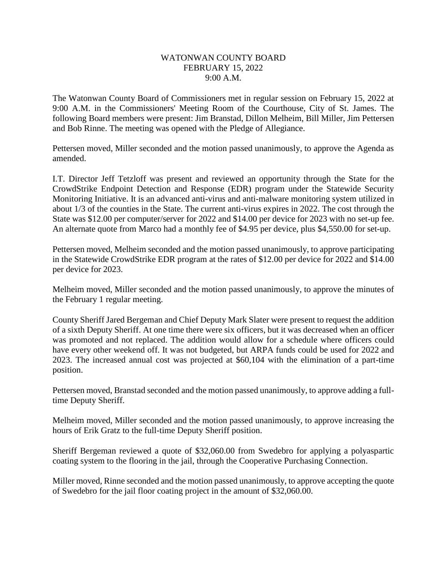## WATONWAN COUNTY BOARD FEBRUARY 15, 2022 9:00 A.M.

The Watonwan County Board of Commissioners met in regular session on February 15, 2022 at 9:00 A.M. in the Commissioners' Meeting Room of the Courthouse, City of St. James. The following Board members were present: Jim Branstad, Dillon Melheim, Bill Miller, Jim Pettersen and Bob Rinne. The meeting was opened with the Pledge of Allegiance.

Pettersen moved, Miller seconded and the motion passed unanimously, to approve the Agenda as amended.

I.T. Director Jeff Tetzloff was present and reviewed an opportunity through the State for the CrowdStrike Endpoint Detection and Response (EDR) program under the Statewide Security Monitoring Initiative. It is an advanced anti-virus and anti-malware monitoring system utilized in about 1/3 of the counties in the State. The current anti-virus expires in 2022. The cost through the State was \$12.00 per computer/server for 2022 and \$14.00 per device for 2023 with no set-up fee. An alternate quote from Marco had a monthly fee of \$4.95 per device, plus \$4,550.00 for set-up.

Pettersen moved, Melheim seconded and the motion passed unanimously, to approve participating in the Statewide CrowdStrike EDR program at the rates of \$12.00 per device for 2022 and \$14.00 per device for 2023.

Melheim moved, Miller seconded and the motion passed unanimously, to approve the minutes of the February 1 regular meeting.

County Sheriff Jared Bergeman and Chief Deputy Mark Slater were present to request the addition of a sixth Deputy Sheriff. At one time there were six officers, but it was decreased when an officer was promoted and not replaced. The addition would allow for a schedule where officers could have every other weekend off. It was not budgeted, but ARPA funds could be used for 2022 and 2023. The increased annual cost was projected at \$60,104 with the elimination of a part-time position.

Pettersen moved, Branstad seconded and the motion passed unanimously, to approve adding a fulltime Deputy Sheriff.

Melheim moved, Miller seconded and the motion passed unanimously, to approve increasing the hours of Erik Gratz to the full-time Deputy Sheriff position.

Sheriff Bergeman reviewed a quote of \$32,060.00 from Swedebro for applying a polyaspartic coating system to the flooring in the jail, through the Cooperative Purchasing Connection.

Miller moved, Rinne seconded and the motion passed unanimously, to approve accepting the quote of Swedebro for the jail floor coating project in the amount of \$32,060.00.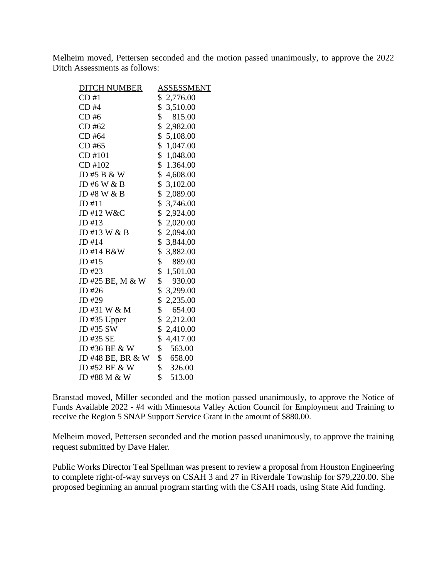Melheim moved, Pettersen seconded and the motion passed unanimously, to approve the 2022 Ditch Assessments as follows:

| <b>DITCH NUMBER</b> | <b>ASSESSMENT</b>       |
|---------------------|-------------------------|
| CD#1                | \$2,776.00              |
| CD#4                | \$3,510.00              |
| CD#6                | $\frac{1}{2}$<br>815.00 |
| CD #62              | \$2,982.00              |
| CD #64              | \$5,108.00              |
| CD #65              | \$1,047.00              |
| CD #101             | \$1,048.00              |
| CD #102             | \$1.364.00              |
| JD #5 B & W         | \$4,608.00              |
| JD #6 W & B         | \$3,102.00              |
| JD #8 W & B         | \$2,089.00              |
| JD #11              | \$3,746.00              |
| JD #12 W&C          | \$2,924.00              |
| JD #13              | \$2,020.00              |
| JD #13 W & B        | \$2,094.00              |
| JD #14              | \$ 3,844.00             |
| JD #14 B&W          | \$3,882.00              |
| $JD$ #15            | \$<br>889.00            |
| JD #23              | \$1,501.00              |
| JD #25 BE, M & W    | \$<br>930.00            |
| JD #26              | \$ 3,299.00             |
| JD #29              | \$2,235.00              |
| JD #31 W & M        | \$<br>654.00            |
| JD #35 Upper        | \$2,212.00              |
| JD #35 SW           | \$2,410.00              |
| JD #35 SE           | \$4,417.00              |
| JD #36 BE & W       | \$<br>563.00            |
| JD #48 BE, BR & W   | \$658.00                |
| JD #52 BE & W       | $\frac{1}{2}$<br>326.00 |
| JD #88 M & W        | \$<br>513.00            |

Branstad moved, Miller seconded and the motion passed unanimously, to approve the Notice of Funds Available 2022 - #4 with Minnesota Valley Action Council for Employment and Training to receive the Region 5 SNAP Support Service Grant in the amount of \$880.00.

Melheim moved, Pettersen seconded and the motion passed unanimously, to approve the training request submitted by Dave Haler.

Public Works Director Teal Spellman was present to review a proposal from Houston Engineering to complete right-of-way surveys on CSAH 3 and 27 in Riverdale Township for \$79,220.00. She proposed beginning an annual program starting with the CSAH roads, using State Aid funding.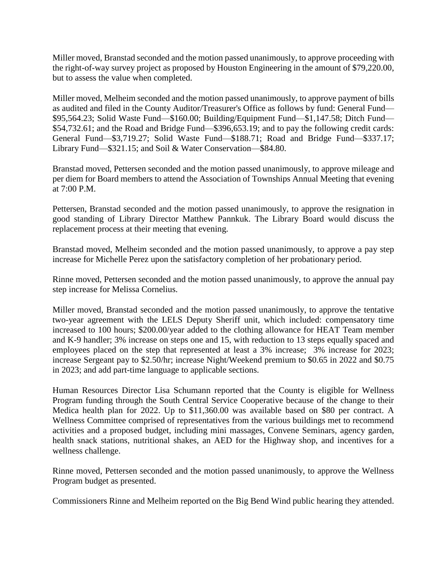Miller moved, Branstad seconded and the motion passed unanimously, to approve proceeding with the right-of-way survey project as proposed by Houston Engineering in the amount of \$79,220.00, but to assess the value when completed.

Miller moved, Melheim seconded and the motion passed unanimously, to approve payment of bills as audited and filed in the County Auditor/Treasurer's Office as follows by fund: General Fund— \$95,564.23; Solid Waste Fund—\$160.00; Building/Equipment Fund—\$1,147.58; Ditch Fund— \$54,732.61; and the Road and Bridge Fund—\$396,653.19; and to pay the following credit cards: General Fund—\$3,719.27; Solid Waste Fund—\$188.71; Road and Bridge Fund—\$337.17; Library Fund—\$321.15; and Soil & Water Conservation—\$84.80.

Branstad moved, Pettersen seconded and the motion passed unanimously, to approve mileage and per diem for Board members to attend the Association of Townships Annual Meeting that evening at 7:00 P.M.

Pettersen, Branstad seconded and the motion passed unanimously, to approve the resignation in good standing of Library Director Matthew Pannkuk. The Library Board would discuss the replacement process at their meeting that evening.

Branstad moved, Melheim seconded and the motion passed unanimously, to approve a pay step increase for Michelle Perez upon the satisfactory completion of her probationary period.

Rinne moved, Pettersen seconded and the motion passed unanimously, to approve the annual pay step increase for Melissa Cornelius.

Miller moved, Branstad seconded and the motion passed unanimously, to approve the tentative two-year agreement with the LELS Deputy Sheriff unit, which included: compensatory time increased to 100 hours; \$200.00/year added to the clothing allowance for HEAT Team member and K-9 handler; 3% increase on steps one and 15, with reduction to 13 steps equally spaced and employees placed on the step that represented at least a 3% increase; 3% increase for 2023; increase Sergeant pay to \$2.50/hr; increase Night/Weekend premium to \$0.65 in 2022 and \$0.75 in 2023; and add part-time language to applicable sections.

Human Resources Director Lisa Schumann reported that the County is eligible for Wellness Program funding through the South Central Service Cooperative because of the change to their Medica health plan for 2022. Up to \$11,360.00 was available based on \$80 per contract. A Wellness Committee comprised of representatives from the various buildings met to recommend activities and a proposed budget, including mini massages, Convene Seminars, agency garden, health snack stations, nutritional shakes, an AED for the Highway shop, and incentives for a wellness challenge.

Rinne moved, Pettersen seconded and the motion passed unanimously, to approve the Wellness Program budget as presented.

Commissioners Rinne and Melheim reported on the Big Bend Wind public hearing they attended.